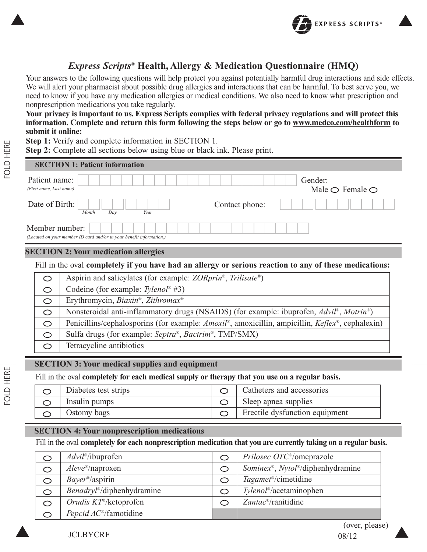

# *Express Scripts*® **Health, Allergy & Medication Questionnaire (HMQ)**

Your answers to the following questions will help protect you against potentially harmful drug interactions and side effects. We will alert your pharmacist about possible drug allergies and interactions that can be harmful. To best serve you, we need to know if you have any medication allergies or medical conditions. We also need to know what prescription and nonprescription medications you take regularly.

**Your privacy is important to us. Express Scripts complies with federal privacy regulations and will protect this information. Complete and return this form following the steps below or go to www.medco.com/healthform to submit it online:**

**Step 1:** Verify and complete information in SECTION 1.

**Step 2:** Complete all sections below using blue or black ink. Please print.

| <b>SECTION 1: Patient information</b>                                                  |                                              |
|----------------------------------------------------------------------------------------|----------------------------------------------|
| Patient name:<br>(First name, Last name)                                               | Gender:<br>Male $\bigcirc$ Female $\bigcirc$ |
| Date of Birth:<br>Year<br>Month<br>Day                                                 | Contact phone:                               |
| Member number:<br>(Located on your member ID card and/or in your benefit information.) |                                              |
| <b>SECTION 2: Your medication allergies</b>                                            |                                              |

## Fill in the oval **completely if you have had an allergy or serious reaction to any of these medications:**

| $\circlearrowright$ | Aspirin and salicylates (for example: <i>ZORprin<sup>®</sup></i> , <i>Trilisate<sup>®</sup></i> )                               |
|---------------------|---------------------------------------------------------------------------------------------------------------------------------|
| $\circ$             | Codeine (for example: Tylenol <sup>®</sup> #3)                                                                                  |
| $\circ$             | Erythromycin, Biaxin <sup>®</sup> , Zithromax <sup>®</sup>                                                                      |
| $\circ$             | Nonsteroidal anti-inflammatory drugs (NSAIDS) (for example: ibuprofen, <i>Advil</i> <sup>®</sup> , <i>Motrin</i> <sup>®</sup> ) |
| $\circ$             | Penicillins/cephalosporins (for example: Amoxil <sup>®</sup> , amoxicillin, ampicillin, Keflex <sup>®</sup> , cephalexin)       |
| $\circ$             | Sulfa drugs (for example: Septra®, Bactrim®, TMP/SMX)                                                                           |
| O                   | Tetracycline antibiotics                                                                                                        |
|                     |                                                                                                                                 |

## **SECTION 3: Your medical supplies and equipment**

Fill in the oval **completely for each medical supply or therapy that you use on a regular basis.**

| Diabetes test strips | $\circ$ Catheters and accessories |
|----------------------|-----------------------------------|
| Insulin pumps        | Sleep apnea supplies              |
| Ostomy bags          | Erectile dysfunction equipment    |
|                      |                                   |

## **SECTION 4: Your nonprescription medications**

Fill in the oval **completely for each nonprescription medication that you are currently taking on a regular basis.**

|   | Advil <sup>®</sup> /ibuprofen               | Prilosec OTC <sup>®</sup> /omeprazole                         |
|---|---------------------------------------------|---------------------------------------------------------------|
|   | $Aleve^{\mathcal{B}}$ /naproxen             | <i>Sominex<sup>®</sup>, Nytol<sup>®</sup>/diphenhydramine</i> |
| O | $Bayer^{\circ}$ /aspirin                    | Tagamet <sup>®</sup> /cimetidine                              |
| O | $Benadryl^{\circledast}/diphenburg$ chamine | Tylenol <sup>®</sup> /acetaminophen                           |
| O | Orudis $KT^*$ /ketoprofen                   | $Zantac^{\circ}\prime$ ranitidine                             |
|   | <i>Pepcid AC</i> <sup>®</sup> /famotidine   |                                                               |

JCLBYCRF 08/12